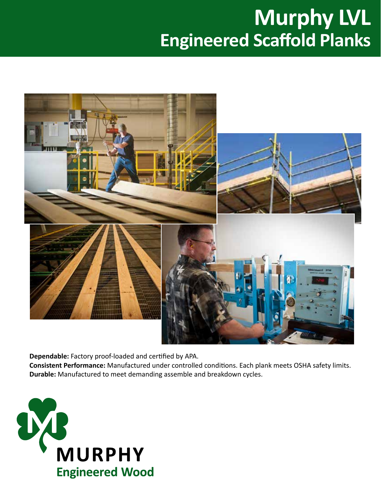# **Murphy LVL Engineered Scaffold Planks**



**Dependable:** Factory proof-loaded and certified by APA.

**Consistent Performance:** Manufactured under controlled conditions. Each plank meets OSHA safety limits. **Durable:** Manufactured to meet demanding assemble and breakdown cycles.

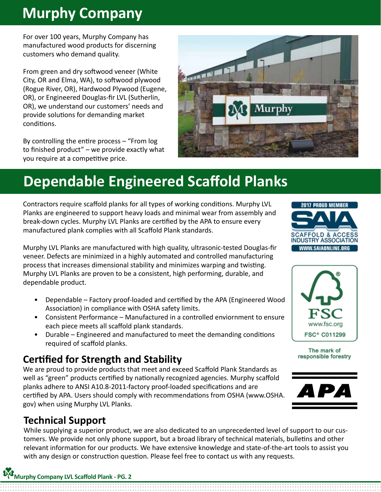## **Murphy Company**

For over 100 years, Murphy Company has manufactured wood products for discerning customers who demand quality.

From green and dry softwood veneer (White City, OR and Elma, WA), to softwood plywood (Rogue River, OR), Hardwood Plywood (Eugene, OR), or Engineered Douglas-fir LVL (Sutherlin, OR), we understand our customers' needs and provide solutions for demanding market conditions.

By controlling the entire process – "From log to finished product" – we provide exactly what you require at a competitive price.



## **Dependable Engineered Scaffold Planks**

Contractors require scaffold planks for all types of working conditions. Murphy LVL Planks are engineered to support heavy loads and minimal wear from assembly and break-down cycles. Murphy LVL Planks are certified by the APA to ensure every manufactured plank complies with all Scaffold Plank standards.

Murphy LVL Planks are manufactured with high quality, ultrasonic-tested Douglas-fir veneer. Defects are minimized in a highly automated and controlled manufacturing process that increases dimensional stability and minimizes warping and twisting. Murphy LVL Planks are proven to be a consistent, high performing, durable, and dependable product.

- Dependable Factory proof-loaded and certified by the APA (Engineered Wood Association) in compliance with OSHA safety limits.
- Consistent Performance Manufactured in a controlled enviornment to ensure each piece meets all scaffold plank standards.
- Durable Engineered and manufactured to meet the demanding conditions required of scaffold planks.

### **Certified for Strength and Stability**

We are proud to provide products that meet and exceed Scaffold Plank Standards as well as "green" products certified by nationally recognized agencies. Murphy scaffold planks adhere to ANSI A10.8-2011-factory proof-loaded specifications and are certified by APA. Users should comply with recommendations from OSHA (www.OSHA. gov) when using Murphy LVL Planks.

#### **Technical Support**

While supplying a superior product, we are also dedicated to an unprecedented level of support to our customers. We provide not only phone support, but a broad library of technical materials, bulletins and other relevant information for our products. We have extensive knowledge and state-of-the-art tools to assist you with any design or construction question. Please feel free to contact us with any requests.





The mark of responsible forestry

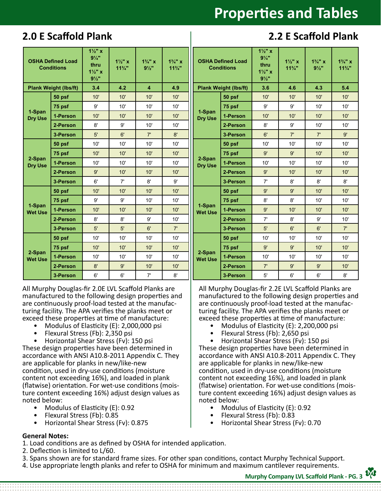## **Properties and Tables**

#### **2.0 E Scaffold Plank 2.2 E Scaffold Plank**

| <b>OSHA Defined Load</b><br><b>Conditions</b> |          | $1\frac{1}{2}$ x<br>$9\frac{1}{4}$<br>thru<br>$1\frac{1}{2}$ x<br>$9\frac{1}{2}$ | $1\frac{1}{2}$ x<br>$11\frac{3}{4}$ " | $1\frac{3}{4}$ " x<br>$9\frac{1}{2}$ | $1\frac{3}{4}$ " x<br>$11\frac{3}{4}$ " | <b>OSHA Defined Load</b><br><b>Conditions</b> |          | $1\frac{1}{2}$ x<br>$9\frac{1}{4}$<br>thru<br>$1\frac{1}{2}$ " x<br>$9\frac{1}{2}$ | $1\frac{1}{2}$ x<br>$11\frac{3}{4}$ | $1\frac{3}{4}$ " x<br>$9\frac{1}{2}$ | $1\frac{3}{4}$ " x<br>$11\frac{3}{4}$ " |
|-----------------------------------------------|----------|----------------------------------------------------------------------------------|---------------------------------------|--------------------------------------|-----------------------------------------|-----------------------------------------------|----------|------------------------------------------------------------------------------------|-------------------------------------|--------------------------------------|-----------------------------------------|
| <b>Plank Weight (lbs/ft)</b>                  |          | 3.4                                                                              | 4.2                                   | $\overline{4}$                       | 4.9                                     | <b>Plank Weight (lbs/ft)</b>                  |          | 3.6                                                                                | 4.6                                 | 4.3                                  | 5.4                                     |
| 1-Span<br><b>Dry Use</b>                      | 50 psf   | 10'                                                                              | 10'                                   | 10'                                  | 10'                                     | 1-Span<br><b>Dry Use</b>                      | 50 psf   | 10'                                                                                | 10'                                 | 10'                                  | 10'                                     |
|                                               | 75 psf   | 9'                                                                               | 10'                                   | 10'                                  | 10'                                     |                                               | 75 psf   | 9'                                                                                 | 9'                                  | 10'                                  | 10'                                     |
|                                               | 1-Person | 10'                                                                              | 10'                                   | 10'                                  | 10'                                     |                                               | 1-Person | 10'                                                                                | 10'                                 | 10'                                  | 10'                                     |
|                                               | 2-Person | 8'                                                                               | 9'                                    | 10'                                  | 10'                                     |                                               | 2-Person | 8'                                                                                 | 9'                                  | 10'                                  | 10'                                     |
|                                               | 3-Person | 5'                                                                               | 6'                                    | 7'                                   | 8'                                      |                                               | 3-Person | 6'                                                                                 | 7'                                  | 7'                                   | 9'                                      |
| 2-Span<br><b>Dry Use</b>                      | 50 psf   | 10'                                                                              | 10'                                   | 10'                                  | 10'                                     | 2-Span<br><b>Dry Use</b>                      | 50 psf   | 10'                                                                                | 10'                                 | 10'                                  | 10'                                     |
|                                               | 75 psf   | 10'                                                                              | 10'                                   | 10'                                  | 10'                                     |                                               | 75 psf   | 9'                                                                                 | 9'                                  | 10'                                  | 10'                                     |
|                                               | 1-Person | 10'                                                                              | 10'                                   | 10'                                  | 10'                                     |                                               | 1-Person | 10'                                                                                | 10'                                 | 10'                                  | 10'                                     |
|                                               | 2-Person | 9'                                                                               | 10'                                   | 10'                                  | 10'                                     |                                               | 2-Person | $9'$                                                                               | 10'                                 | 10'                                  | 10'                                     |
|                                               | 3-Person | 6'                                                                               | 7'                                    | 8'                                   | 9'                                      |                                               | 3-Person | 7'                                                                                 | 8'                                  | 8'                                   | 8'                                      |
| 1-Span<br><b>Wet Use</b>                      | 50 psf   | 10'                                                                              | 10'                                   | 10'                                  | 10'                                     | 1-Span<br><b>Wet Use</b>                      | 50 psf   | 9'                                                                                 | 9'                                  | 10'                                  | 10'                                     |
|                                               | 75 psf   | 9'                                                                               | 9'                                    | 10'                                  | 10'                                     |                                               | 75 psf   | 8'                                                                                 | 8'                                  | 10'                                  | 10'                                     |
|                                               | 1-Person | 10'                                                                              | 10'                                   | 10'                                  | 10'                                     |                                               | 1-Person | $9'$                                                                               | 10'                                 | 10'                                  | 10'                                     |
|                                               | 2-Person | 8'                                                                               | 8'                                    | 9'                                   | 10'                                     |                                               | 2-Person | 7'                                                                                 | 8'                                  | 9'                                   | 10'                                     |
|                                               | 3-Person | 5'                                                                               | 5'                                    | 6'                                   | 7'                                      |                                               | 3-Person | 5'                                                                                 | 6'                                  | 6'                                   | 7'                                      |
| 2-Span<br><b>Wet Use</b>                      | 50 psf   | 10'                                                                              | 10'                                   | 10'                                  | 10'                                     | 2-Span<br><b>Wet Use</b>                      | 50 psf   | 10'                                                                                | 10'                                 | 10'                                  | 10'                                     |
|                                               | 75 psf   | 10'                                                                              | 10'                                   | 10'                                  | 10'                                     |                                               | 75 psf   | 9'                                                                                 | 9'                                  | 10'                                  | 10'                                     |
|                                               | 1-Person | 10'                                                                              | 10'                                   | 10'                                  | 10'                                     |                                               | 1-Person | 10'                                                                                | 10'                                 | 10'                                  | 10'                                     |
|                                               | 2-Person | 8'                                                                               | 9'                                    | 10'                                  | 10'                                     |                                               | 2-Person | 7'                                                                                 | 9'                                  | 9'                                   | 10'                                     |
|                                               | 3-Person | 6'                                                                               | 6'                                    | 7'                                   | 8'                                      |                                               | 3-Person | 5'                                                                                 | 6'                                  | 6'                                   | 8'                                      |

All Murphy Douglas-fir 2.0E LVL Scaffold Planks are manufactured to the following design properties and are continuously proof-load tested at the manufacturing facility. The APA verifies the planks meet or exceed these properties at time of manufacture:

- Modulus of Elasticity (E): 2,000,000 psi
- Flexural Stress (Fb): 2,350 psi
- Horizontal Shear Stress (Fv): 150 psi

These design properties have been determined in accordance with ANSI A10.8-2011 Appendix C. They are applicable for planks in new/like-new condition, used in dry-use conditions (moisture content not exceeding 16%), and loaded in plank (flatwise) orientation. For wet-use conditions (moisture content exceeding 16%) adjust design values as noted below:

- Modulus of Elasticity (E): 0.92
- Flexural Stress (Fb): 0.85
- Horizontal Shear Stress (Fv): 0.875

#### **General Notes:**

- 1. Load conditions are as defined by OSHA for intended application.
- 2. Deflection is limited to L/60.
- 3. Spans shown are for standard frame sizes. For other span conditions, contact Murphy Technical Support.
- 4. Use appropriate length planks and refer to OSHA for minimum and maximum cantilever requirements.

All Murphy Douglas-fir 2.2E LVL Scaffold Planks are manufactured to the following design properties and are continuously proof-load tested at the manufacturing facility. The APA verifies the planks meet or

- exceed these properties at time of manufacture:
	- Modulus of Elasticity (E): 2,200,000 psi
	- Flexural Stress (Fb): 2,650 psi

• Horizontal Shear Stress (Fv): 150 psi These design properties have been determined in accordance with ANSI A10.8-2011 Appendix C. They are applicable for planks in new/like-new condition, used in dry-use conditions (moisture content not exceeding 16%), and loaded in plank (flatwise) orientation. For wet-use conditions (moisture content exceeding 16%) adjust design values as noted below:

- Modulus of Elasticity (E): 0.92
- Flexural Stress (Fb): 0.83
- Horizontal Shear Stress (Fv): 0.70

**Murphy Company LVL Scaffold Plank - PG. 3**

**D<sub>A</sub>**